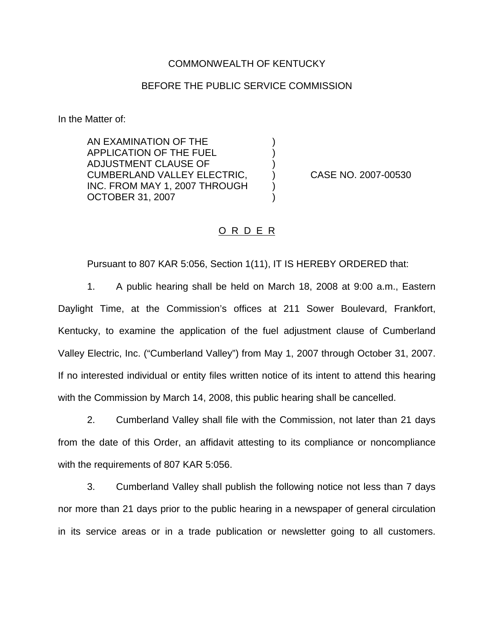## COMMONWEALTH OF KENTUCKY

## BEFORE THE PUBLIC SERVICE COMMISSION

) ) )

) )

In the Matter of:

AN EXAMINATION OF THE APPLICATION OF THE FUEL ADJUSTMENT CLAUSE OF CUMBERLAND VALLEY ELECTRIC, INC. FROM MAY 1, 2007 THROUGH OCTOBER 31, 2007

) CASE NO. 2007-00530

## O R D E R

Pursuant to 807 KAR 5:056, Section 1(11), IT IS HEREBY ORDERED that:

1. A public hearing shall be held on March 18, 2008 at 9:00 a.m., Eastern Daylight Time, at the Commission's offices at 211 Sower Boulevard, Frankfort, Kentucky, to examine the application of the fuel adjustment clause of Cumberland Valley Electric, Inc. ("Cumberland Valley") from May 1, 2007 through October 31, 2007. If no interested individual or entity files written notice of its intent to attend this hearing with the Commission by March 14, 2008, this public hearing shall be cancelled.

2. Cumberland Valley shall file with the Commission, not later than 21 days from the date of this Order, an affidavit attesting to its compliance or noncompliance with the requirements of 807 KAR 5:056.

3. Cumberland Valley shall publish the following notice not less than 7 days nor more than 21 days prior to the public hearing in a newspaper of general circulation in its service areas or in a trade publication or newsletter going to all customers.